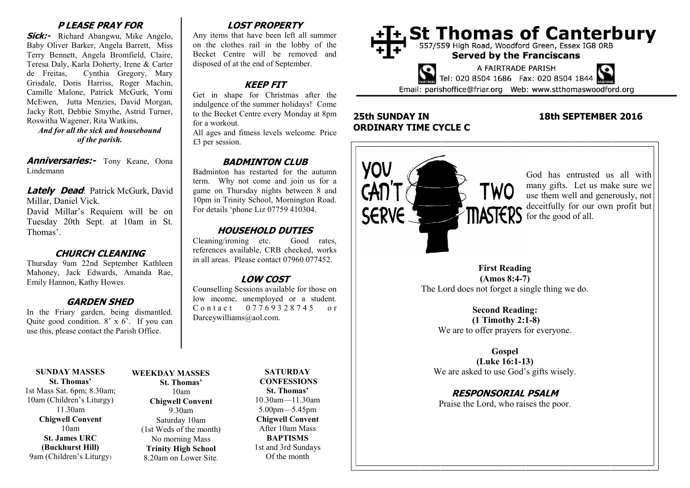## **P LEASE PRAY FOR**

**Sick:-** Richard Abangwu, Mike Angelo, Baby Oliver Barker, Angela Barrett, Miss Terry Bennett, Angela Bromfield, Claire, Teresa Daly, Karla Doherty, Irene & Carter de Freitas, Cynthia Gregory, Mary Grisdale, Doris Harriss, Roger Machin, Camille Malone, Patrick McGurk, Yomi McEwen, Jutta Menzies, David Morgan, Jacky Rott, Debbie Smythe, Astrid Turner, Roswitha Wagener, Rita Watkins,

*And for all the sick and housebound of the parish.*

**Anniversaries:-** Tony Keane, Oona Lindemann

**Lately Dead:** Patrick McGurk, David Millar, Daniel Vick.

David Millar's Requiem will be on Tuesday 20th Sept. at 10am in St. Thomas'.

#### **CHURCH CLEANING**

Thursday 9am 22nd September Kathleen Mahoney, Jack Edwards, Amanda Rae, Emily Hannon, Kathy Howes.

### **GARDEN SHED**

In the Friary garden, being dismantled. Quite good condition.  $8' \times 6'$ . If you can use this, please contact the Parish Office.

#### **SUNDAY MASSES St. Thomas'** 1st Mass Sat. 6pm; 8.30am; 10am (Children's Liturgy) 11.30am **Chigwell Convent** 10am **St. James URC (Buckhurst Hill)** 9am (Children's Liturgy)

Saturday 10am (1st Weds of the month) No morning Mass **Trinity High School** 8.20am on Lower Site.

**St. Thomas'** 10am

9.30am

# **LOST PROPERTY**

Any items that have been left all summer on the clothes rail in the lobby of the Becket Centre will be removed and disposed of at the end of September.

# **KEEP FIT**

Get in shape for Christmas after the indulgence of the summer holidays! Come to the Becket Centre every Monday at 8pm for a workout.

All ages and fitness levels welcome. Price £3 per session.

# **BADMINTON CLUB**

Badminton has restarted for the autumn term. Why not come and join us for a game on Thursday nights between 8 and 10pm in Trinity School, Mornington Road. For details 'phone Liz 07759 410304.

# **HOUSEHOLD DUTIES**

Cleaning/ironing etc. Good rates, references available, CRB checked, works in all areas. Please contact 07960 077452.

# **LOW COST**

Counselling Sessions available for those on low income, unemployed or a student. C o n t a c t 0 7 7 6 9 3 2 8 7 4 5 o r Darceywilliams@aol.com.

**WEEKDAY MASSES Chigwell Convent**

#### **SATURDAY CONFESSIONS St. Thomas'** 10.30am—11.30am 5.00pm—5.45pm **Chigwell Convent** After 10am Mass **BAPTISMS** 1st and 3rd Sundays Of the month



# **25th SUNDAY IN 18th SEPTEMBER 2016 ORDINARY TIME CYCLE C**



God has entrusted us all with many gifts. Let us make sure we use them well and generously, not deceitfully for our own profit but

**First Reading (Amos 8:4-7)** The Lord does not forget a single thing we do.

**Second Reading: (1 Timothy 2:1-8)** We are to offer prayers for everyone.

**Gospel (Luke 16:1-13)** We are asked to use God's gifts wisely.

**RESPONSORIAL PSALM** Praise the Lord, who raises the poor.